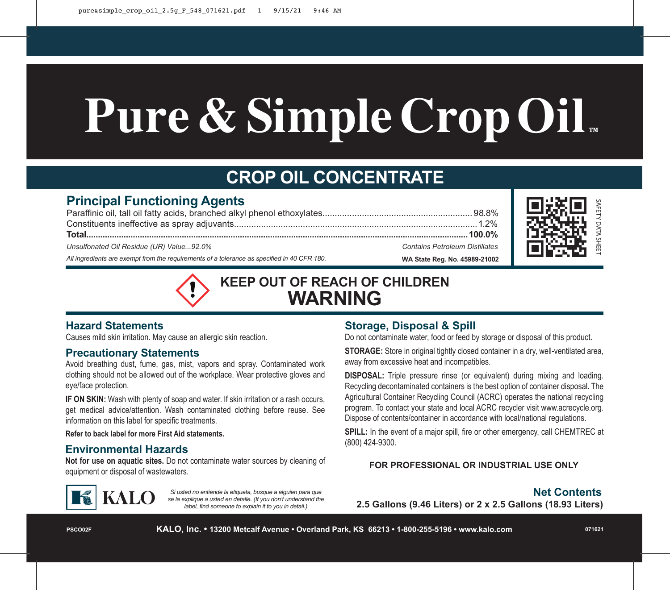# **Pure & Simple CropOil ™**

# **CROP OIL CONCENTRATE**

# **Principal Functioning Agents**

| Unsulfonated Oil Residue (UR) Value92.0%                                                    | <b>Contains Petroleum Distillates</b> |
|---------------------------------------------------------------------------------------------|---------------------------------------|
| All ingredients are exempt from the requirements of a tolerance as specified in 40 CFR 180. | WA State Reg. No. 45989-21002         |



**KEEP OUT OF REACH OF CHILDREN WARNING**

# **Hazard Statements**

Causes mild skin irritation. May cause an allergic skin reaction.

# **Precautionary Statements**

Avoid breathing dust, fume, gas, mist, vapors and spray. Contaminated work clothing should not be allowed out of the workplace. Wear protective gloves and eye/face protection.

**IF ON SKIN:** Wash with plenty of soap and water. If skin irritation or a rash occurs, get medical advice/attention. Wash contaminated clothing before reuse. See information on this label for specific treatments.

**Refer to back label for more First Aid statements.**

# **Environmental Hazards**

**Not for use on aquatic sites.** Do not contaminate water sources by cleaning of equipment or disposal of wastewaters.



*Si usted no entiende la etiqueta, busque a alguien para que se la explique a usted en detalle. (If you don't understand the label, find someone to explain it to you in detail.)*

# **Storage, Disposal & Spill**

Do not contaminate water, food or feed by storage or disposal of this product.

**STORAGE:** Store in original tightly closed container in a dry, well-ventilated area, away from excessive heat and incompatibles.

**DISPOSAL:** Triple pressure rinse (or equivalent) during mixing and loading. Recycling decontaminated containers is the best option of container disposal. The Agricultural Container Recycling Council (ACRC) operates the national recycling program. To contact your state and local ACRC recycler visit www.acrecycle.org. Dispose of contents/container in accordance with local/national regulations.

**SPILL:** In the event of a major spill, fire or other emergency, call CHEMTREC at (800) 424-9300.

## **FOR PROFESSIONAL OR INDUSTRIAL USE ONLY**

# **Net Contents**

**2.5 Gallons (9.46 Liters) or 2 x 2.5 Gallons (18.93 Liters)**

**PSCO02F**

**KALO, Inc. • 13200 Metcalf Avenue • Overland Park, KS 66213 • 1-800-255-5196 • www.kalo.com**